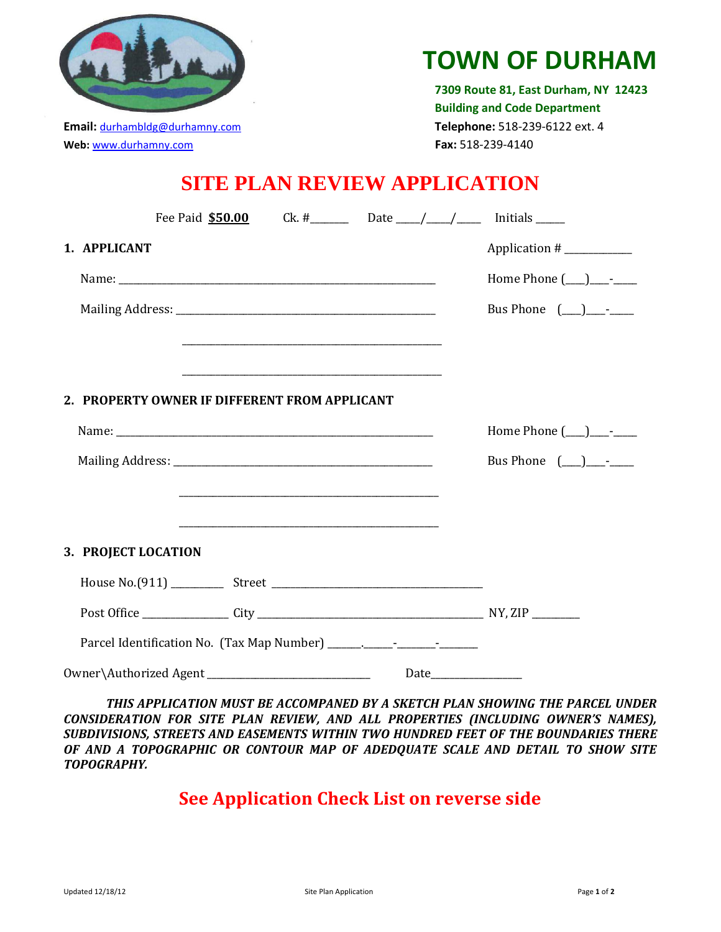

## **TOWN OF DURHAM**

 **7309 Route 81, East Durham, NY 12423 Building and Code Department Email:** [durhambldg@durhamny.com](mailto:durhambldg@durhamny.com) **Telephone:** 518-239-6122 ext. 4 **Web:** [www.durhamny.com](http://www.durhamny.com/) **Fax:** 518-239-4140

## **SITE PLAN REVIEW APPLICATION**

| Fee Paid \$50.00                                       |                                                                                                                                                                                                                               | Ck. #___________ Date _____/_____/__________ Initials _______ |                            |
|--------------------------------------------------------|-------------------------------------------------------------------------------------------------------------------------------------------------------------------------------------------------------------------------------|---------------------------------------------------------------|----------------------------|
| 1. APPLICANT                                           |                                                                                                                                                                                                                               |                                                               | Application #              |
|                                                        |                                                                                                                                                                                                                               |                                                               | Home Phone $(\_\_)$ $\_\_$ |
|                                                        |                                                                                                                                                                                                                               |                                                               | Bus Phone $(\_\_)$ - -     |
|                                                        | and the control of the control of the control of the control of the control of the control of the control of the                                                                                                              |                                                               |                            |
|                                                        |                                                                                                                                                                                                                               |                                                               |                            |
| 2. PROPERTY OWNER IF DIFFERENT FROM APPLICANT          |                                                                                                                                                                                                                               |                                                               |                            |
|                                                        |                                                                                                                                                                                                                               |                                                               | Home Phone $(\_\_)$ $\_\_$ |
|                                                        |                                                                                                                                                                                                                               |                                                               | Bus Phone $(\_)$ - -       |
|                                                        | the control of the control of the control of the control of the control of the control of the control of the control of the control of the control of the control of the control of the control of the control of the control |                                                               |                            |
|                                                        |                                                                                                                                                                                                                               |                                                               |                            |
| 3. PROJECT LOCATION                                    |                                                                                                                                                                                                                               |                                                               |                            |
|                                                        |                                                                                                                                                                                                                               |                                                               |                            |
|                                                        |                                                                                                                                                                                                                               |                                                               |                            |
|                                                        |                                                                                                                                                                                                                               |                                                               |                            |
| 0wner\Authorized Agent _______________________________ |                                                                                                                                                                                                                               | Date                                                          |                            |

*THIS APPLICATION MUST BE ACCOMPANED BY A SKETCH PLAN SHOWING THE PARCEL UNDER CONSIDERATION FOR SITE PLAN REVIEW, AND ALL PROPERTIES (INCLUDING OWNER'S NAMES), SUBDIVISIONS, STREETS AND EASEMENTS WITHIN TWO HUNDRED FEET OF THE BOUNDARIES THERE OF AND A TOPOGRAPHIC OR CONTOUR MAP OF ADEDQUATE SCALE AND DETAIL TO SHOW SITE TOPOGRAPHY.*

## **See Application Check List on reverse side**